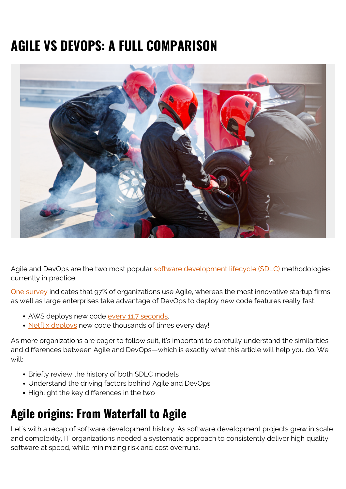# **AGILE VS DEVOPS: A FULL COMPARISON**



Agile and DevOps are the two most popular [software development lifecycle \(SDLC\)](https://blogs.bmc.com/blogs/sdlc-software-development-lifecycle/) methodologies currently in practice.

[One survey](https://betanews.com/2019/05/07/state-of-agile-report/) indicates that 97% of organizations use Agile, whereas the most innovative startup firms as well as large enterprises take advantage of DevOps to deploy new code features really fast:

- AWS deploys new code [every 11.7 seconds.](https://techbeacon.com/devops/10-companies-killing-it-devops)
- [Netflix deploys](https://www.bizety.com/2018/07/17/how-netflix-uses-spinnaker-continuous-delivery-platform-to-support-95-of-its-aws-infrastructure/) new code thousands of times every day!

As more organizations are eager to follow suit, it's important to carefully understand the similarities and differences between Agile and DevOps—which is exactly what this article will help you do. We will:

- Briefly review the history of both SDLC models
- Understand the driving factors behind Agile and DevOps
- Highlight the key differences in the two

### **Agile origins: From Waterfall to Agile**

Let's with a recap of software development history. As software development projects grew in scale and complexity, IT organizations needed a systematic approach to consistently deliver high quality software at speed, while minimizing risk and cost overruns.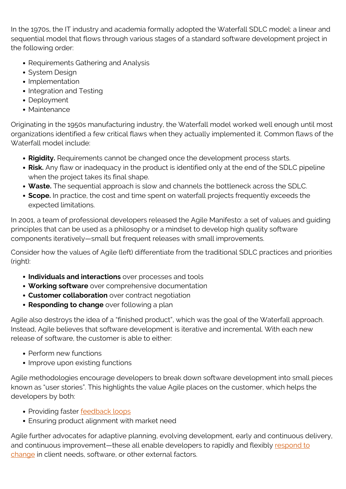In the 1970s, the IT industry and academia formally adopted the Waterfall SDLC model: a linear and sequential model that flows through various stages of a standard software development project in the following order:

- Requirements Gathering and Analysis
- System Design
- Implementation
- Integration and Testing
- Deployment
- Maintenance

Originating in the 1950s manufacturing industry, the Waterfall model worked well enough until most organizations identified a few critical flaws when they actually implemented it. Common flaws of the Waterfall model include:

- **Rigidity.** Requirements cannot be changed once the development process starts.
- **Risk.** Any flaw or inadequacy in the product is identified only at the end of the SDLC pipeline when the project takes its final shape.
- **Waste.** The sequential approach is slow and channels the bottleneck across the SDLC.
- **Scope.** In practice, the cost and time spent on waterfall projects frequently exceeds the expected limitations.

In 2001, a team of professional developers released the Agile Manifesto: a set of values and guiding principles that can be used as a philosophy or a mindset to develop high quality software components iteratively—small but frequent releases with small improvements.

Consider how the values of Agile (left) differentiate from the traditional SDLC practices and priorities (right):

- **Individuals and interactions** over processes and tools
- **Working software** over comprehensive documentation
- **Customer collaboration** over contract negotiation
- **Responding to change** over following a plan

Agile also destroys the idea of a "finished product", which was the goal of the Waterfall approach. Instead, Agile believes that software development is iterative and incremental. With each new release of software, the customer is able to either:

- Perform new functions
- Improve upon existing functions

Agile methodologies encourage developers to break down software development into small pieces known as "user stories". This highlights the value Agile places on the customer, which helps the developers by both:

- Providing faster **[feedback loops](https://blogs.bmc.com/blogs/devops-feedback-loops/)**
- Ensuring product alignment with market need

Agile further advocates for adaptive planning, evolving development, early and continuous delivery, and continuous improvement—these all enable developers to rapidly and flexibly [respond to](https://blogs.bmc.com/blogs/types-levels-change-management/) [change](https://blogs.bmc.com/blogs/types-levels-change-management/) in client needs, software, or other external factors.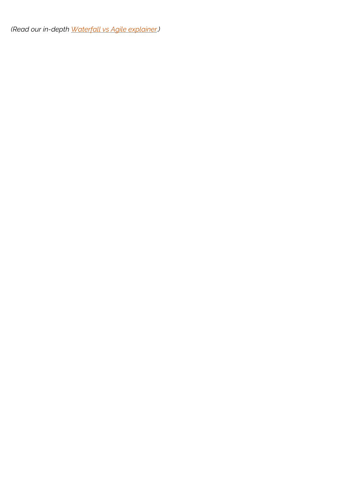*(Read our in-depth [Waterfall vs Agile explainer](https://blogs.bmc.com/blogs/agile-vs-waterfall/).)*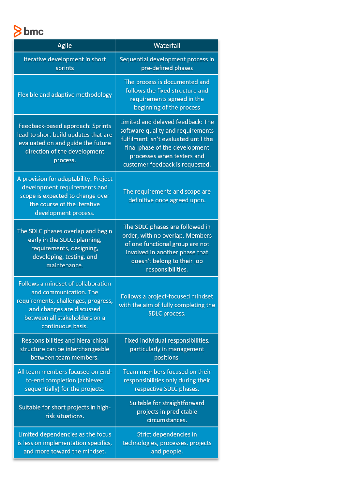bmc

| Agile                                                                                                                                                                                  | Waterfall                                                                                                                                                                                                         |
|----------------------------------------------------------------------------------------------------------------------------------------------------------------------------------------|-------------------------------------------------------------------------------------------------------------------------------------------------------------------------------------------------------------------|
| Iterative development in short<br>sprints                                                                                                                                              | Sequential development process in<br>pre-defined phases                                                                                                                                                           |
| Flexible and adaptive methodology                                                                                                                                                      | The process is documented and<br>follows the fixed structure and<br>requirements agreed in the<br>beginning of the process                                                                                        |
| Feedback-based approach: Sprints<br>lead to short build updates that are<br>evaluated on and guide the future<br>direction of the development<br>process.                              | Limited and delayed feedback: The<br>software quality and requirements<br>fulfilment isn't evaluated until the<br>final phase of the development<br>processes when testers and<br>customer feedback is requested. |
| A provision for adaptability: Project<br>development requirements and<br>scope is expected to change over<br>the course of the iterative<br>development process.                       | The requirements and scope are<br>definitive once agreed upon.                                                                                                                                                    |
| The SDLC phases overlap and begin<br>early in the SDLC: planning,<br>requirements, designing,<br>developing, testing, and<br>maintenance.                                              | The SDLC phases are followed in<br>order, with no overlap. Members<br>of one functional group are not<br>involved in another phase that<br>doesn't belong to their job<br>responsibilities.                       |
| Follows a mindset of collaboration<br>and communication. The<br>requirements, challenges, progress,<br>and changes are discussed<br>between all stakeholders on a<br>continuous basis. | Follows a project-focused mindset<br>with the aim of fully completing the<br>SDLC process.                                                                                                                        |
| Responsibilities and hierarchical<br>structure can be interchangeable<br>between team members.                                                                                         | Fixed individual responsibilities,<br>particularly in management<br>positions.                                                                                                                                    |
| All team members focused on end-<br>to-end completion (achieved<br>sequentially) for the projects.                                                                                     | Team members focused on their<br>responsibilities only during their<br>respective SDLC phases.                                                                                                                    |
| Suitable for short projects in high-<br>risk situations.                                                                                                                               | Suitable for straightforward<br>projects in predictable<br>circumstances.                                                                                                                                         |
| Limited dependencies as the focus<br>is less on implementation specifics,<br>and more toward the mindset.                                                                              | Strict dependencies in<br>technologies, processes, projects<br>and people.                                                                                                                                        |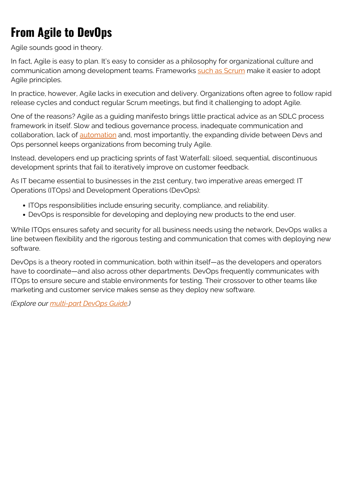## **From Agile to DevOps**

Agile sounds good in theory.

In fact, Agile is easy to plan. It's easy to consider as a philosophy for organizational culture and communication among development teams. Frameworks [such as Scrum](https://blogs.bmc.com/blogs/scrum-vs-kanban/) make it easier to adopt Agile principles.

In practice, however, Agile lacks in execution and delivery. Organizations often agree to follow rapid release cycles and conduct regular Scrum meetings, but find it challenging to adopt Agile.

One of the reasons? Agile as a guiding manifesto brings little practical advice as an SDLC process framework in itself. Slow and tedious governance process, inadequate communication and collaboration, lack of **automation** and, most importantly, the expanding divide between Devs and Ops personnel keeps organizations from becoming truly Agile.

Instead, developers end up practicing sprints of fast Waterfall: siloed, sequential, discontinuous development sprints that fail to iteratively improve on customer feedback.

As IT became essential to businesses in the 21st century, two imperative areas emerged: IT Operations (ITOps) and Development Operations (DevOps):

- ITOps responsibilities include ensuring security, compliance, and reliability.
- DevOps is responsible for developing and deploying new products to the end user.

While ITOps ensures safety and security for all business needs using the network, DevOps walks a line between flexibility and the rigorous testing and communication that comes with deploying new software.

DevOps is a theory rooted in communication, both within itself—as the developers and operators have to coordinate—and also across other departments. DevOps frequently communicates with ITOps to ensure secure and stable environments for testing. Their crossover to other teams like marketing and customer service makes sense as they deploy new software.

*(Explore our [multi-part DevOps Guide](https://blogs.bmc.com/blogs/devops-basics-introduction/).)*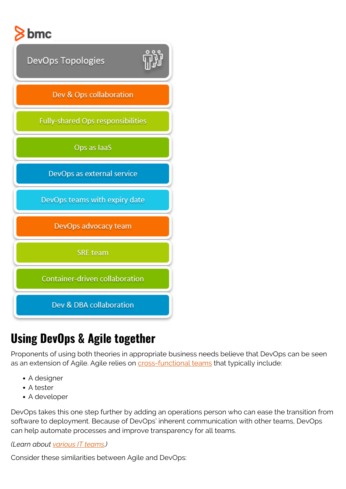



### **Using DevOps & Agile together**

Proponents of using both theories in appropriate business needs believe that DevOps can be seen as an extension of Agile. Agile relies on **cross-functional teams** that typically include:

- A designer
- A tester
- A developer

DevOps takes this one step further by adding an operations person who can ease the transition from software to deployment. Because of DevOps' inherent communication with other teams, DevOps can help automate processes and improve transparency for all teams.

*(Learn about [various IT teams](https://blogs.bmc.com/blogs/it-teams/).)*

Consider these similarities between Agile and DevOps: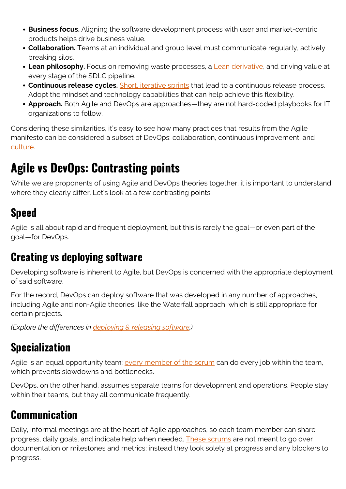- **Business focus.** Aligning the software development process with user and market-centric products helps drive business value.
- **Collaboration.** Teams at an individual and group level must communicate regularly, actively breaking silos.
- **Lean philosophy.** Focus on removing waste processes, a [Lean derivative,](https://blogs.bmc.com/blogs/lean-startup-enterprise/) and driving value at every stage of the SDLC pipeline.
- **Continuous release cycles.** [Short, iterative sprints](https://blogs.bmc.com/blogs/sprint-zero/) that lead to a continuous release process. Adopt the mindset and technology capabilities that can help achieve this flexibility.
- **Approach.** Both Agile and DevOps are approaches—they are not hard-coded playbooks for IT organizations to follow.

Considering these similarities, it's easy to see how many practices that results from the Agile manifesto can be considered a subset of DevOps: collaboration, continuous improvement, and [culture](https://blogs.bmc.com/blogs/devops-culture/).

### **Agile vs DevOps: Contrasting points**

While we are proponents of using Agile and DevOps theories together, it is important to understand where they clearly differ. Let's look at a few contrasting points.

### **Speed**

Agile is all about rapid and frequent deployment, but this is rarely the goal—or even part of the goal—for DevOps.

#### **Creating vs deploying software**

Developing software is inherent to Agile, but DevOps is concerned with the appropriate deployment of said software.

For the record, DevOps can deploy software that was developed in any number of approaches, including Agile and non-Agile theories, like the Waterfall approach, which is still appropriate for certain projects.

*(Explore the differences in [deploying & releasing software](https://blogs.bmc.com/blogs/software-deployment-vs-release/).)*

### **Specialization**

Agile is an equal opportunity team: [every member of the scrum](https://blogs.bmc.com/blogs/agile-roles-responsibilities/) can do every job within the team, which prevents slowdowns and bottlenecks.

DevOps, on the other hand, assumes separate teams for development and operations. People stay within their teams, but they all communicate frequently.

#### **Communication**

Daily, informal meetings are at the heart of Agile approaches, so each team member can share progress, daily goals, and indicate help when needed. [These scrums](https://blogs.bmc.com/blogs/scrum-teams-whats-scrum-meetings/) are not meant to go over documentation or milestones and metrics; instead they look solely at progress and any blockers to progress.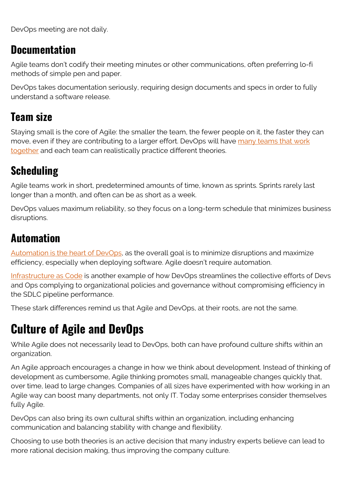DevOps meeting are not daily.

#### **Documentation**

Agile teams don't codify their meeting minutes or other communications, often preferring lo-fi methods of simple pen and paper.

DevOps takes documentation seriously, requiring design documents and specs in order to fully understand a software release.

#### **Team size**

Staying small is the core of Agile: the smaller the team, the fewer people on it, the faster they can move, even if they are contributing to a larger effort. DevOps will have [many teams that work](https://blogs.bmc.com/blogs/devops-titles-roles-responsibilities/) [together](https://blogs.bmc.com/blogs/devops-titles-roles-responsibilities/) and each team can realistically practice different theories.

### **Scheduling**

Agile teams work in short, predetermined amounts of time, known as sprints. Sprints rarely last longer than a month, and often can be as short as a week.

DevOps values maximum reliability, so they focus on a long-term schedule that minimizes business disruptions.

#### **Automation**

[Automation is the heart of DevOps,](https://blogs.bmc.com/blogs/automation-in-devops/) as the overall goal is to minimize disruptions and maximize efficiency, especially when deploying software. Agile doesn't require automation.

[Infrastructure as Code](https://blogs.bmc.com/blogs/infrastructure-as-code/) is another example of how DevOps streamlines the collective efforts of Devs and Ops complying to organizational policies and governance without compromising efficiency in the SDLC pipeline performance.

These stark differences remind us that Agile and DevOps, at their roots, are not the same.

## **Culture of Agile and DevOps**

While Agile does not necessarily lead to DevOps, both can have profound culture shifts within an organization.

An Agile approach encourages a change in how we think about development. Instead of thinking of development as cumbersome, Agile thinking promotes small, manageable changes quickly that, over time, lead to large changes. Companies of all sizes have experimented with how working in an Agile way can boost many departments, not only IT. Today some enterprises consider themselves fully Agile.

DevOps can also bring its own cultural shifts within an organization, including enhancing communication and balancing stability with change and flexibility.

Choosing to use both theories is an active decision that many industry experts believe can lead to more rational decision making, thus improving the company culture.